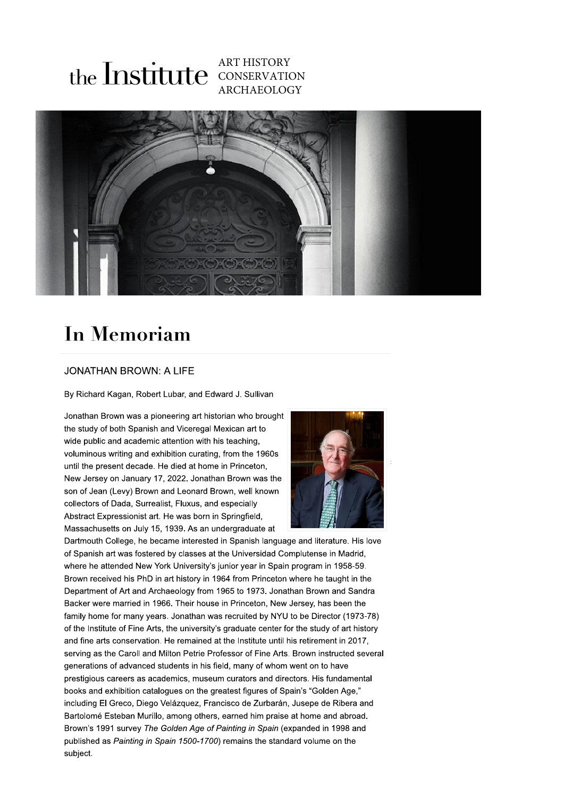## **ART HISTORY** the Institute CONSERVATION **ARCHAEOLOGY**



## **In Memoriam**

## **JONATHAN BROWN: A LIFE**

By Richard Kagan, Robert Lubar, and Edward J. Sullivan

Jonathan Brown was a pioneering art historian who brought the study of both Spanish and Viceregal Mexican art to wide public and academic attention with his teaching, voluminous writing and exhibition curating, from the 1960s until the present decade. He died at home in Princeton, New Jersey on January 17, 2022. Jonathan Brown was the son of Jean (Levy) Brown and Leonard Brown, well known collectors of Dada, Surrealist, Fluxus, and especially Abstract Expressionist art. He was born in Springfield. Massachusetts on July 15, 1939. As an undergraduate at



Dartmouth College, he became interested in Spanish language and literature. His love of Spanish art was fostered by classes at the Universidad Complutense in Madrid, where he attended New York University's junior vear in Spain program in 1958-59. Brown received his PhD in art history in 1964 from Princeton where he taught in the Department of Art and Archaeology from 1965 to 1973. Jonathan Brown and Sandra Backer were married in 1966. Their house in Princeton, New Jersey, has been the family home for many years. Jonathan was recruited by NYU to be Director (1973-78) of the Institute of Fine Arts, the university's graduate center for the study of art history and fine arts conservation. He remained at the Institute until his retirement in 2017, serving as the Caroll and Milton Petrie Professor of Fine Arts. Brown instructed several generations of advanced students in his field, many of whom went on to have prestigious careers as academics, museum curators and directors. His fundamental books and exhibition catalogues on the greatest figures of Spain's "Golden Age." including El Greco, Diego Velázquez, Francisco de Zurbarán, Jusepe de Ribera and Bartolomé Esteban Murillo, among others, earned him praise at home and abroad. Brown's 1991 survey The Golden Age of Painting in Spain (expanded in 1998 and published as Painting in Spain 1500-1700) remains the standard volume on the subject.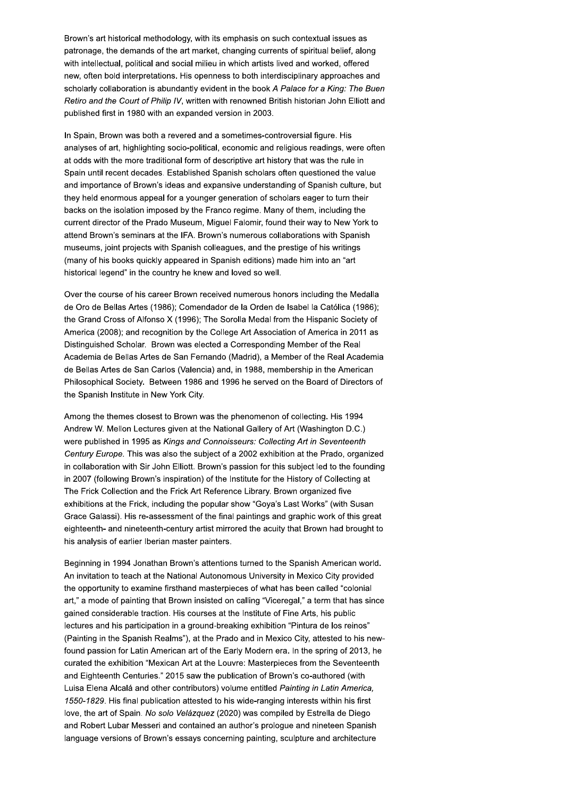Brown's art historical methodology, with its emphasis on such contextual issues as patronage, the demands of the art market, changing currents of spiritual belief, along with intellectual, political and social milieu in which artists lived and worked, offered new, often bold interpretations. His openness to both interdisciplinary approaches and scholarly collaboration is abundantly evident in the book A Palace for a King: The Buen Retiro and the Court of Philip IV, written with renowned British historian John Elliott and published first in 1980 with an expanded version in 2003.

In Spain, Brown was both a revered and a sometimes-controversial figure. His analyses of art, highlighting socio-political, economic and religious readings, were often at odds with the more traditional form of descriptive art history that was the rule in Spain until recent decades. Established Spanish scholars often questioned the value and importance of Brown's ideas and expansive understanding of Spanish culture, but they held enormous appeal for a younger generation of scholars eager to turn their backs on the isolation imposed by the Franco regime. Many of them, including the current director of the Prado Museum, Miguel Falomir, found their way to New York to attend Brown's seminars at the IFA. Brown's numerous collaborations with Spanish museums, joint projects with Spanish colleagues, and the prestige of his writings (many of his books quickly appeared in Spanish editions) made him into an "art historical legend" in the country he knew and loved so well.

Over the course of his career Brown received numerous honors including the Medalla de Oro de Bellas Artes (1986); Comendador de la Orden de Isabel la Católica (1986); the Grand Cross of Alfonso X (1996); The Sorolla Medal from the Hispanic Society of America (2008); and recognition by the College Art Association of America in 2011 as Distinguished Scholar. Brown was elected a Corresponding Member of the Real Academia de Bellas Artes de San Fernando (Madrid), a Member of the Real Academia de Bellas Artes de San Carlos (Valencia) and, in 1988, membership in the American Philosophical Society. Between 1986 and 1996 he served on the Board of Directors of the Spanish Institute in New York City.

Among the themes closest to Brown was the phenomenon of collecting. His 1994 Andrew W. Mellon Lectures given at the National Gallery of Art (Washington D.C.) were published in 1995 as Kings and Connoisseurs: Collecting Art in Seventeenth Century Europe. This was also the subject of a 2002 exhibition at the Prado, organized in collaboration with Sir John Elliott. Brown's passion for this subject led to the founding in 2007 (following Brown's inspiration) of the Institute for the History of Collecting at The Frick Collection and the Frick Art Reference Library. Brown organized five exhibitions at the Frick, including the popular show "Goya's Last Works" (with Susan Grace Galassi). His re-assessment of the final paintings and graphic work of this great eighteenth- and nineteenth-century artist mirrored the acuity that Brown had brought to his analysis of earlier Iberian master painters.

Beginning in 1994 Jonathan Brown's attentions turned to the Spanish American world. An invitation to teach at the National Autonomous University in Mexico City provided the opportunity to examine firsthand masterpieces of what has been called "colonial art," a mode of painting that Brown insisted on calling "Viceregal," a term that has since gained considerable traction. His courses at the Institute of Fine Arts, his public lectures and his participation in a ground-breaking exhibition "Pintura de los reinos" (Painting in the Spanish Realms"), at the Prado and in Mexico City, attested to his newfound passion for Latin American art of the Early Modern era. In the spring of 2013, he curated the exhibition "Mexican Art at the Louvre: Masterpieces from the Seventeenth and Eighteenth Centuries." 2015 saw the publication of Brown's co-authored (with Luisa Elena Alcalá and other contributors) volume entitled Painting in Latin America, 1550-1829. His final publication attested to his wide-ranging interests within his first love, the art of Spain. No solo Velázquez (2020) was compiled by Estrella de Diego and Robert Lubar Messeri and contained an author's prologue and nineteen Spanish language versions of Brown's essays concerning painting, sculpture and architecture